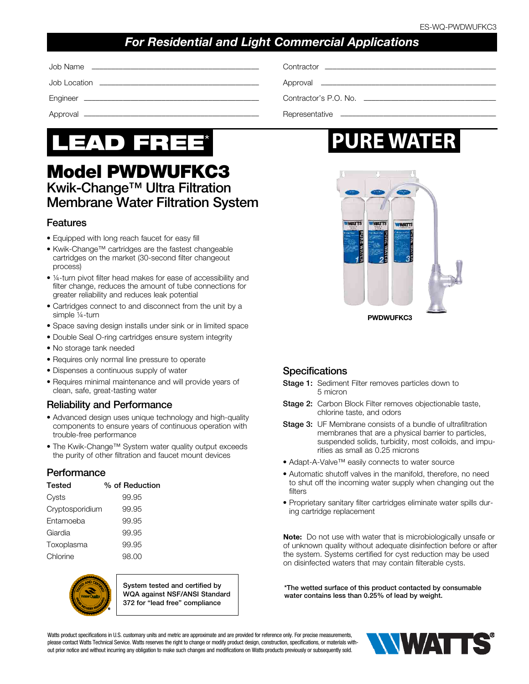## *For Residential and Light Commercial Applications*

| Contractor experiences and the contractor of the contractor |
|-------------------------------------------------------------|
|                                                             |
| Contractor's P.O. No.                                       |
|                                                             |



## Model PWDWUFKC3 Kwik-Change™ Ultra Filtration Membrane Water Filtration System

#### Features

- Equipped with long reach faucet for easy fill
- Kwik-Change™ cartridges are the fastest changeable cartridges on the market (30-second filter changeout process)
- 1/4-turn pivot filter head makes for ease of accessibility and filter change, reduces the amount of tube connections for greater reliability and reduces leak potential
- Cartridges connect to and disconnect from the unit by a simple 1/4-turn
- Space saving design installs under sink or in limited space
- Double Seal O-ring cartridges ensure system integrity
- No storage tank needed
- Requires only normal line pressure to operate
- Dispenses a continuous supply of water
- Requires minimal maintenance and will provide years of clean, safe, great-tasting water

#### Reliability and Performance

- Advanced design uses unique technology and high-quality components to ensure years of continuous operation with trouble-free performance
- The Kwik-Change™ System water quality output exceeds the purity of other filtration and faucet mount devices

#### Performance

| <b>Tested</b>   | % of Reduction |
|-----------------|----------------|
| Cysts           | 99.95          |
| Cryptosporidium | 99.95          |
| Entamoeba       | 99.95          |
| Giardia         | 99.95          |
| Toxoplasma      | 99.95          |
| Chlorine        | 98.00          |



System tested and certified by WQA against NSF/ANSI Standard 372 for "lead free" compliance

# **PURE WATER**



#### **Specifications**

- Stage 1: Sediment Filter removes particles down to 5 micron
- Stage 2: Carbon Block Filter removes objectionable taste, chlorine taste, and odors
- **Stage 3: UF Membrane consists of a bundle of ultrafiltration** membranes that are a physical barrier to particles, suspended solids, turbidity, most colloids, and impurities as small as 0.25 microns
- Adapt-A-Valve™ easily connects to water source
- Automatic shutoff valves in the manifold, therefore, no need to shut off the incoming water supply when changing out the filters
- Proprietary sanitary filter cartridges eliminate water spills during cartridge replacement

Note: Do not use with water that is microbiologically unsafe or of unknown quality without adequate disinfection before or after the system. Systems certified for cyst reduction may be used on disinfected waters that may contain filterable cysts.

\*The wetted surface of this product contacted by consumable water contains less than 0.25% of lead by weight.

Watts product specifications in U.S. customary units and metric are approximate and are provided for reference only. For precise measurements, please contact Watts Technical Service. Watts reserves the right to change or modify product design, construction, specifications, or materials without prior notice and without incurring any obligation to make such changes and modifications on Watts products previously or subsequently sold.